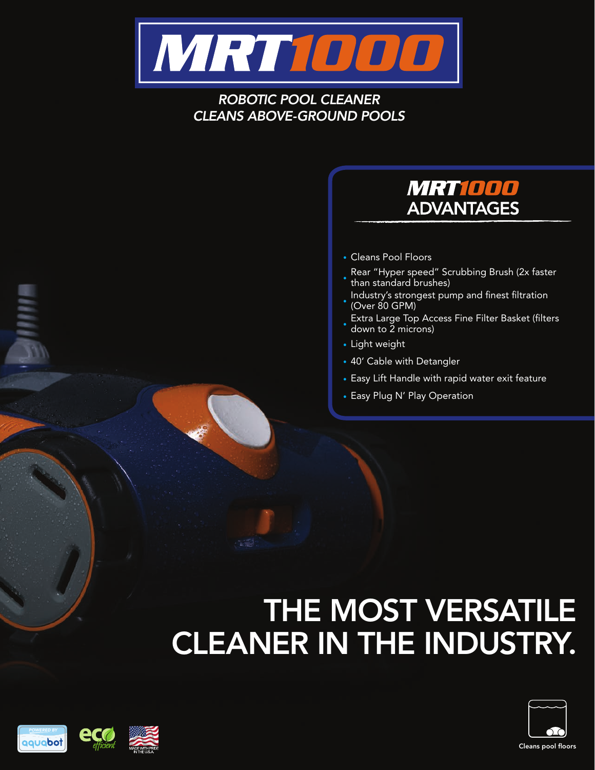

#### *ROBOTIC POOL CLEANER CLEANS ABOVE-GROUND POOLS*

#### MRT1000 **ADVANTAGES**

- **•** Cleans Pool Floors
- **•** Rear "Hyper speed" Scrubbing Brush (2x faster than standard brushes)
- **•** Industry's strongest pump and finest filtration (Over 80 GPM)
- **•** Extra Large Top Access Fine Filter Basket (filters down to 2 microns)
- **•** Light weight
- **•** 40' Cable with Detangler
- **•** Easy Lift Handle with rapid water exit feature
- **•** Easy Plug N' Play Operation

# THE MOST VERSATILE CLEANER IN THE INDUSTRY.